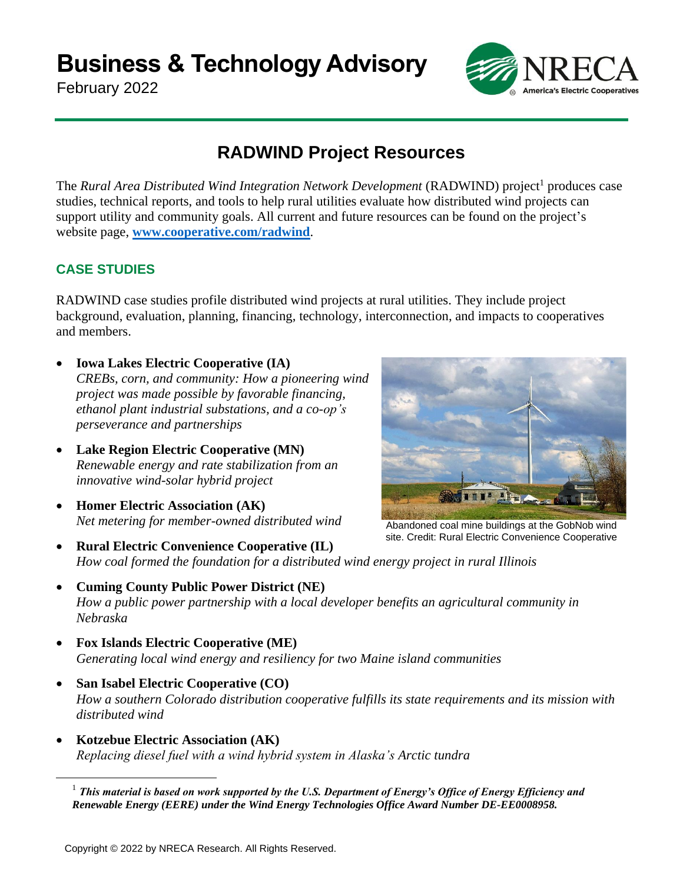**Business & Technology Advisory**

February 2022



# **RADWIND Project Resources**

The *Rural Area Distributed Wind Integration Network Development* (RADWIND) project<sup>1</sup> produces case studies, technical reports, and tools to help rural utilities evaluate how distributed wind projects can support utility and community goals. All current and future resources can be found on the project's website page, **[www.cooperative.com/radwind](http://www.cooperative.com/radwind)**.

## **CASE STUDIES**

RADWIND case studies profile distributed wind projects at rural utilities. They include project background, evaluation, planning, financing, technology, interconnection, and impacts to cooperatives and members.

- **Iowa Lakes Electric Cooperative (IA)** *CREBs, corn, and community: How a pioneering wind project was made possible by favorable financing, ethanol plant industrial substations, and a co-op's perseverance and partnerships*
- **Lake Region Electric Cooperative (MN)** *Renewable energy and rate stabilization from an innovative wind-solar hybrid project*
- **Homer Electric Association (AK)** *Net metering for member-owned distributed wind*



Abandoned coal mine buildings at the GobNob wind site. Credit: Rural Electric Convenience Cooperative

- **Rural Electric Convenience Cooperative (IL)** *How coal formed the foundation for a distributed wind energy project in rural Illinois*
- **Cuming County Public Power District (NE)** *How a public power partnership with a local developer benefits an agricultural community in Nebraska*
- **Fox Islands Electric Cooperative (ME)** *Generating local wind energy and resiliency for two Maine island communities*
- **San Isabel Electric Cooperative (CO)** *How a southern Colorado distribution cooperative fulfills its state requirements and its mission with distributed wind*
- **Kotzebue Electric Association (AK)** *Replacing diesel fuel with a wind hybrid system in Alaska's Arctic tundra*

 $<sup>1</sup>$  This material is based on work supported by the U.S. Department of Energy's Office of Energy Efficiency and</sup> *Renewable Energy (EERE) under the Wind Energy Technologies Office Award Number DE-EE0008958.*